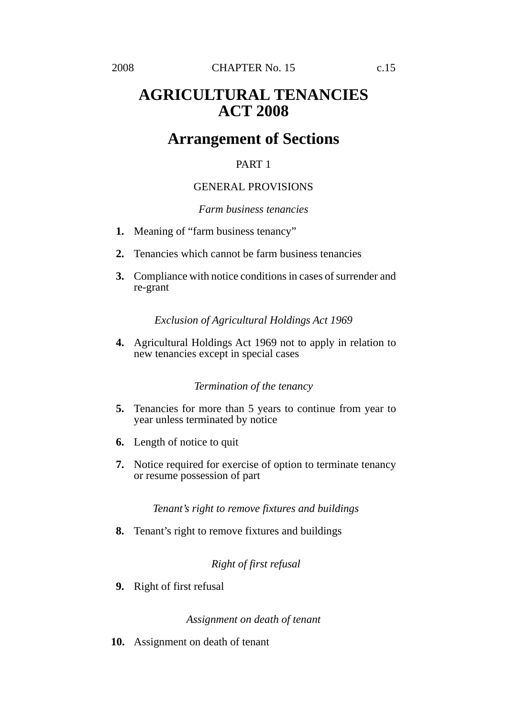# **AGRICULTURAL TENANCIES ACT 2008**

# **Arrangement of Sections**

# PART 1

# GENERAL PROVISIONS

# *Farm business tenancies*

- **1.** Meaning of "farm business tenancy"
- **2.** Tenancies which cannot be farm business tenancies
- **3.** Compliance with notice conditions in cases of surrender and re-grant

# *Exclusion of Agricultural Holdings Act 1969*

**4.** Agricultural Holdings Act 1969 not to apply in relation to new tenancies except in special cases

# *Termination of the tenancy*

- **5.** Tenancies for more than 5 years to continue from year to year unless terminated by notice
- **6.** Length of notice to quit
- **7.** Notice required for exercise of option to terminate tenancy or resume possession of part

# *Tenant's right to remove fixtures and buildings*

**8.** Tenant's right to remove fixtures and buildings

# *Right of first refusal*

**9.** Right of first refusal

# *Assignment on death of tenant*

**10.** Assignment on death of tenant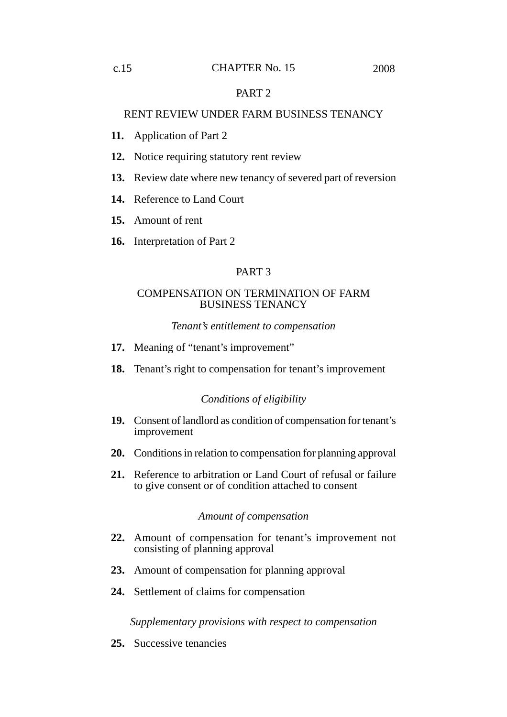# PART 2

# RENT REVIEW UNDER FARM BUSINESS TENANCY

- **11.** Application of Part 2
- **12.** Notice requiring statutory rent review
- **13.** Review date where new tenancy of severed part of reversion
- **14.** Reference to Land Court
- **15.** Amount of rent
- **16.** Interpretation of Part 2

# PART 3

### COMPENSATION ON TERMINATION OF FARM BUSINESS TENANCY

### *Tenant's entitlement to compensation*

- **17.** Meaning of "tenant's improvement"
- **18.** Tenant's right to compensation for tenant's improvement

### *Conditions of eligibility*

- **19.** Consent of landlord as condition of compensation for tenant's improvement
- **20.** Conditions in relation to compensation for planning approval
- **21.** Reference to arbitration or Land Court of refusal or failure to give consent or of condition attached to consent

### *Amount of compensation*

- **22.** Amount of compensation for tenant's improvement not consisting of planning approval
- **23.** Amount of compensation for planning approval
- **24.** Settlement of claims for compensation

*Supplementary provisions with respect to compensation*

**25.** Successive tenancies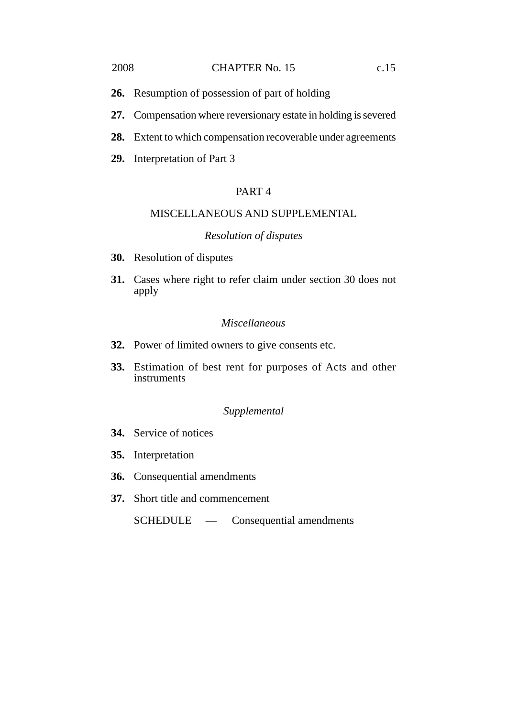### 2008 **CHAPTER No. 15** c.15

- **26.** Resumption of possession of part of holding
- **27.** Compensation where reversionary estate in holding is severed
- **28.** Extent to which compensation recoverable under agreements
- **29.** Interpretation of Part 3

# PART 4

# MISCELLANEOUS AND SUPPLEMENTAL

# *Resolution of disputes*

- **30.** Resolution of disputes
- **31.** Cases where right to refer claim under section 30 does not apply

# *Miscellaneous*

- **32.** Power of limited owners to give consents etc.
- **33.** Estimation of best rent for purposes of Acts and other instruments

### *Supplemental*

- **34.** Service of notices
- **35.** Interpretation
- **36.** Consequential amendments
- **37.** Short title and commencement

SCHEDULE — Consequential amendments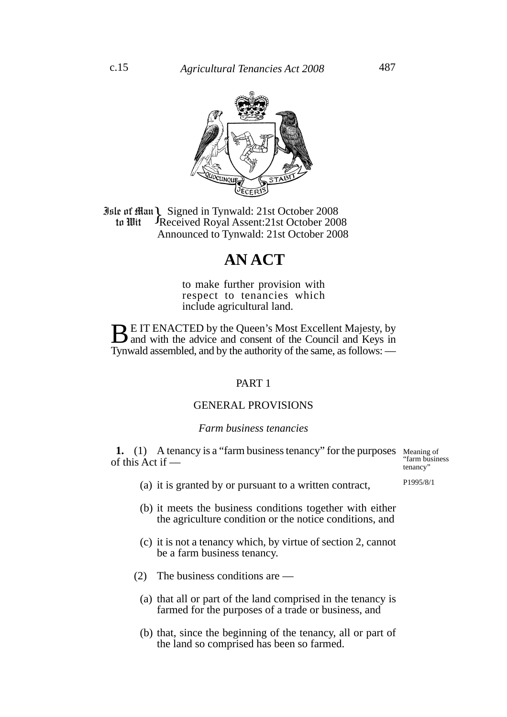

**Jule of Man)** Signed in Tynwald: 21st October 2008<br> **10 In Wit** Freceived Royal Assent: 21st October 2008 Received Royal Assent:21st October 2008 Announced to Tynwald: 21st October 2008 to Wit

# **AN ACT**

to make further provision with respect to tenancies which include agricultural land.

**BE IT ENACTED by the Queen's Most Excellent Majesty, by** and with the advice and consent of the Council and Keys in Tynwald assembled, and by the authority of the same, as follows: —

# PART 1

# GENERAL PROVISIONS

#### *Farm business tenancies*

**1.** (1) A tenancy is a "farm business tenancy" for the purposes Meaning of of this Act if —

"farm business tenancy"

P1995/8/1

- (a) it is granted by or pursuant to a written contract,
- (b) it meets the business conditions together with either the agriculture condition or the notice conditions, and
- (c) it is not a tenancy which, by virtue of section 2, cannot be a farm business tenancy.
- (2) The business conditions are
	- (a) that all or part of the land comprised in the tenancy is farmed for the purposes of a trade or business, and
	- (b) that, since the beginning of the tenancy, all or part of the land so comprised has been so farmed.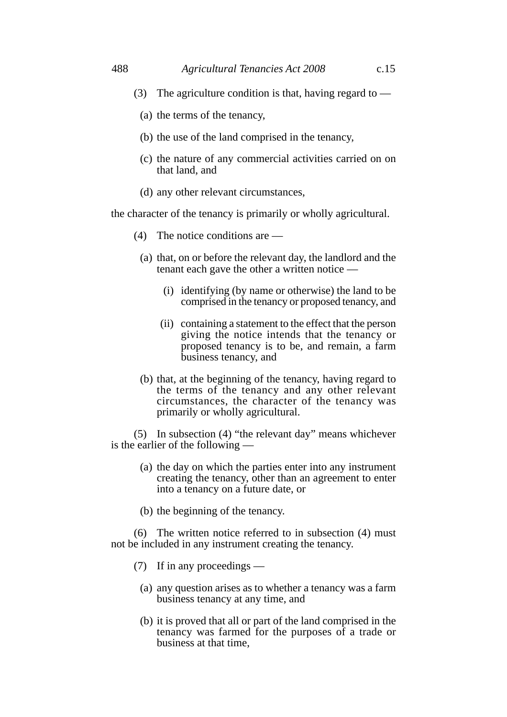- (3) The agriculture condition is that, having regard to  $-$ 
	- (a) the terms of the tenancy,
	- (b) the use of the land comprised in the tenancy,
	- (c) the nature of any commercial activities carried on on that land, and
	- (d) any other relevant circumstances,

the character of the tenancy is primarily or wholly agricultural.

- (4) The notice conditions are —
- (a) that, on or before the relevant day, the landlord and the tenant each gave the other a written notice —
	- (i) identifying (by name or otherwise) the land to be comprised in the tenancy or proposed tenancy, and
	- (ii) containing a statement to the effect that the person giving the notice intends that the tenancy or proposed tenancy is to be, and remain, a farm business tenancy, and
- (b) that, at the beginning of the tenancy, having regard to the terms of the tenancy and any other relevant circumstances, the character of the tenancy was primarily or wholly agricultural.

(5) In subsection (4) "the relevant day" means whichever is the earlier of the following —

- (a) the day on which the parties enter into any instrument creating the tenancy, other than an agreement to enter into a tenancy on a future date, or
- (b) the beginning of the tenancy.

(6) The written notice referred to in subsection (4) must not be included in any instrument creating the tenancy.

- (7) If in any proceedings
	- (a) any question arises as to whether a tenancy was a farm business tenancy at any time, and
	- (b) it is proved that all or part of the land comprised in the tenancy was farmed for the purposes of a trade or business at that time,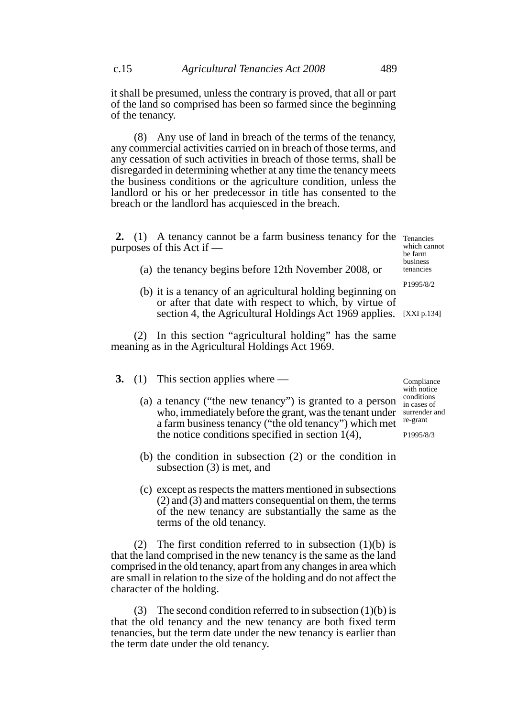it shall be presumed, unless the contrary is proved, that all or part of the land so comprised has been so farmed since the beginning of the tenancy.

(8) Any use of land in breach of the terms of the tenancy, any commercial activities carried on in breach of those terms, and any cessation of such activities in breach of those terms, shall be disregarded in determining whether at any time the tenancy meets the business conditions or the agriculture condition, unless the landlord or his or her predecessor in title has consented to the breach or the landlord has acquiesced in the breach.

2. (1) A tenancy cannot be a farm business tenancy for the Tenancies purposes of this Act if —

(a) the tenancy begins before 12th November 2008, or

which cannot be farm business tenancies

P1995/8/2

(b) it is a tenancy of an agricultural holding beginning on or after that date with respect to which, by virtue of section 4, the Agricultural Holdings Act 1969 applies. [XXI p.134]

(2) In this section "agricultural holding" has the same meaning as in the Agricultural Holdings Act 1969.

- **3.** (1) This section applies where
	- (a) a tenancy ("the new tenancy") is granted to a person who, immediately before the grant, was the tenant under a farm business tenancy ("the old tenancy") which met the notice conditions specified in section 1(4),
	- (b) the condition in subsection (2) or the condition in subsection (3) is met, and
	- (c) except as respects the matters mentioned in subsections (2) and (3) and matters consequential on them, the terms of the new tenancy are substantially the same as the terms of the old tenancy.

(2) The first condition referred to in subsection  $(1)(b)$  is that the land comprised in the new tenancy is the same as the land comprised in the old tenancy, apart from any changes in area which are small in relation to the size of the holding and do not affect the character of the holding.

(3) The second condition referred to in subsection  $(1)(b)$  is that the old tenancy and the new tenancy are both fixed term tenancies, but the term date under the new tenancy is earlier than the term date under the old tenancy.

Compliance with notice conditions in cases of surrender and re-grant

P1995/8/3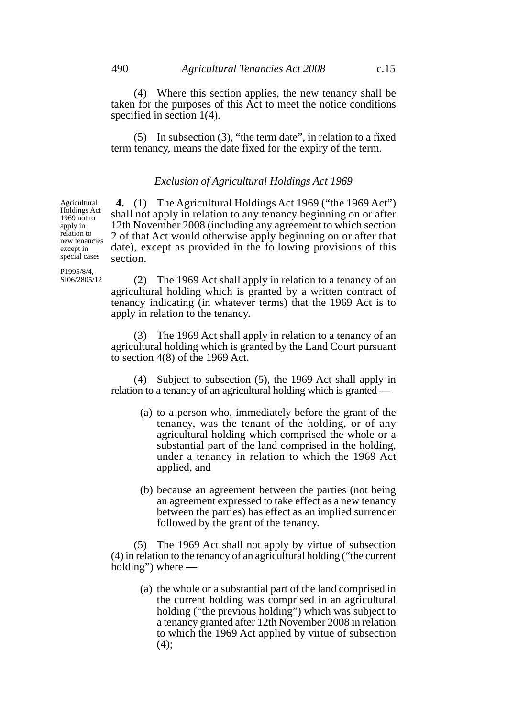(4) Where this section applies, the new tenancy shall be taken for the purposes of this Act to meet the notice conditions specified in section 1(4).

(5) In subsection (3), "the term date", in relation to a fixed term tenancy, means the date fixed for the expiry of the term.

### *Exclusion of Agricultural Holdings Act 1969*

**4.** (1) The Agricultural Holdings Act 1969 ("the 1969 Act") shall not apply in relation to any tenancy beginning on or after 12th November 2008 (including any agreement to which section 2 of that Act would otherwise apply beginning on or after that date), except as provided in the following provisions of this section. Holdings Act new tenancies special cases

P1995/8/4, SI06/2805/12

Agricultural

1969 not to apply in relation to

except in

(2) The 1969 Act shall apply in relation to a tenancy of an agricultural holding which is granted by a written contract of tenancy indicating (in whatever terms) that the 1969 Act is to apply in relation to the tenancy.

(3) The 1969 Act shall apply in relation to a tenancy of an agricultural holding which is granted by the Land Court pursuant to section 4(8) of the 1969 Act.

(4) Subject to subsection (5), the 1969 Act shall apply in relation to a tenancy of an agricultural holding which is granted —

- (a) to a person who, immediately before the grant of the tenancy, was the tenant of the holding, or of any agricultural holding which comprised the whole or a substantial part of the land comprised in the holding, under a tenancy in relation to which the 1969 Act applied, and
- (b) because an agreement between the parties (not being an agreement expressed to take effect as a new tenancy between the parties) has effect as an implied surrender followed by the grant of the tenancy.

(5) The 1969 Act shall not apply by virtue of subsection (4) in relation to the tenancy of an agricultural holding ("the current holding") where —

> (a) the whole or a substantial part of the land comprised in the current holding was comprised in an agricultural holding ("the previous holding") which was subject to a tenancy granted after 12th November 2008 in relation to which the 1969 Act applied by virtue of subsection  $(4);$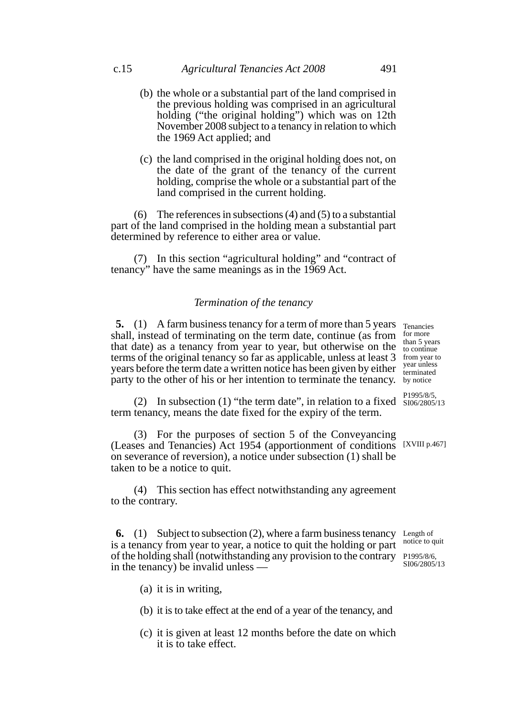- (b) the whole or a substantial part of the land comprised in the previous holding was comprised in an agricultural holding ("the original holding") which was on 12th November 2008 subject to a tenancy in relation to which the 1969 Act applied; and
- (c) the land comprised in the original holding does not, on the date of the grant of the tenancy of the current holding, comprise the whole or a substantial part of the land comprised in the current holding.

(6) The references in subsections (4) and (5) to a substantial part of the land comprised in the holding mean a substantial part determined by reference to either area or value.

(7) In this section "agricultural holding" and "contract of tenancy" have the same meanings as in the 1969 Act.

### *Termination of the tenancy*

**5.** (1) A farm business tenancy for a term of more than 5 years Tenancies shall, instead of terminating on the term date, continue (as from that date) as a tenancy from year to year, but otherwise on the terms of the original tenancy so far as applicable, unless at least 3 years before the term date a written notice has been given by either party to the other of his or her intention to terminate the tenancy.

(2) In subsection (1) "the term date", in relation to a fixed  $\frac{1}{5006/2805/13}$ term tenancy, means the date fixed for the expiry of the term.

(3) For the purposes of section 5 of the Conveyancing (Leases and Tenancies) Act 1954 (apportionment of conditions [XVIII p.467] on severance of reversion), a notice under subsection (1) shall be taken to be a notice to quit.

(4) This section has effect notwithstanding any agreement to the contrary.

**6.** (1) Subject to subsection (2), where a farm business tenancy Length of is a tenancy from year to year, a notice to quit the holding or part of the holding shall (notwithstanding any provision to the contrary P1995/8/6, in the tenancy) be invalid unless —

notice to quit SI06/2805/13

- (a) it is in writing,
- (b) it is to take effect at the end of a year of the tenancy, and
- (c) it is given at least 12 months before the date on which it is to take effect.

for more than 5 years to continue from year to year unless terminated by notice

P1995/8/5,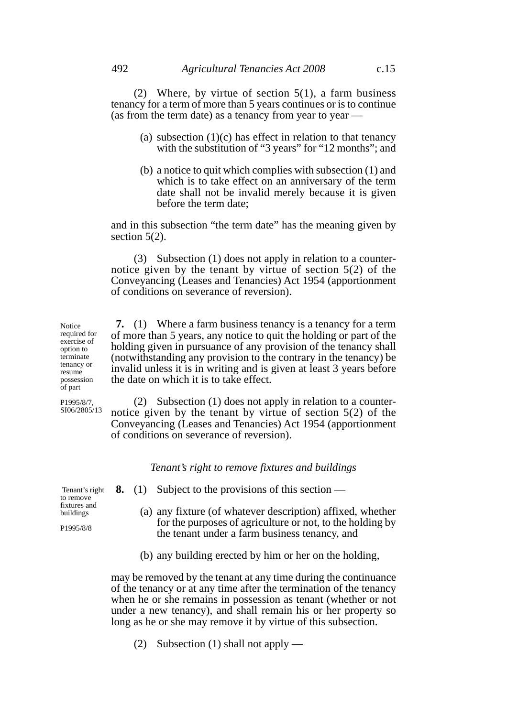(2) Where, by virtue of section  $5(1)$ , a farm business tenancy for a term of more than 5 years continues or is to continue (as from the term date) as a tenancy from year to year —

- (a) subsection  $(1)(c)$  has effect in relation to that tenancy with the substitution of "3 years" for "12 months"; and
- (b) a notice to quit which complies with subsection (1) and which is to take effect on an anniversary of the term date shall not be invalid merely because it is given before the term date;

and in this subsection "the term date" has the meaning given by section 5(2).

(3) Subsection (1) does not apply in relation to a counternotice given by the tenant by virtue of section 5(2) of the Conveyancing (Leases and Tenancies) Act 1954 (apportionment of conditions on severance of reversion).

**7.** (1) Where a farm business tenancy is a tenancy for a term of more than 5 years, any notice to quit the holding or part of the holding given in pursuance of any provision of the tenancy shall (notwithstanding any provision to the contrary in the tenancy) be invalid unless it is in writing and is given at least 3 years before the date on which it is to take effect.

(2) Subsection (1) does not apply in relation to a counternotice given by the tenant by virtue of section 5(2) of the Conveyancing (Leases and Tenancies) Act 1954 (apportionment of conditions on severance of reversion).

### *Tenant's right to remove fixtures and buildings*

Tenant's right to remove fixtures and buildings

P1995/8/8

Notice required for exercise of option to terminate tenancy or resume possession of part P1995/8/7, SI06/2805/13

- **8.** (1) Subject to the provisions of this section
	- (a) any fixture (of whatever description) affixed, whether for the purposes of agriculture or not, to the holding by the tenant under a farm business tenancy, and
	- (b) any building erected by him or her on the holding,

may be removed by the tenant at any time during the continuance of the tenancy or at any time after the termination of the tenancy when he or she remains in possession as tenant (whether or not under a new tenancy), and shall remain his or her property so long as he or she may remove it by virtue of this subsection.

(2) Subsection (1) shall not apply —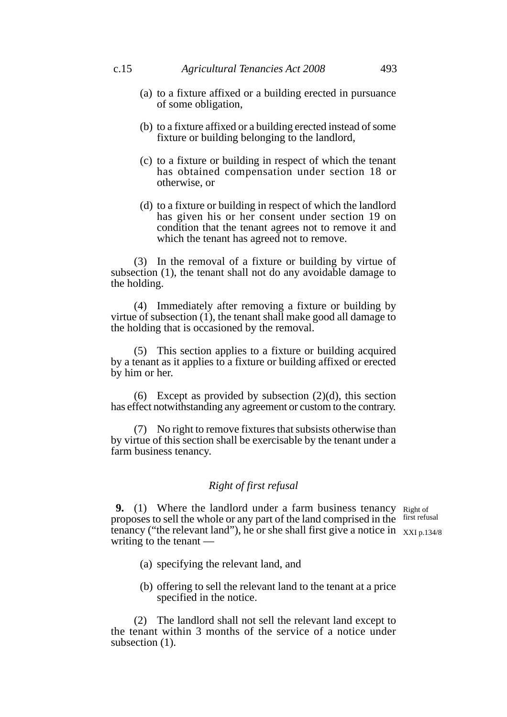- (a) to a fixture affixed or a building erected in pursuance of some obligation,
- (b) to a fixture affixed or a building erected instead of some fixture or building belonging to the landlord,
- (c) to a fixture or building in respect of which the tenant has obtained compensation under section 18 or otherwise, or
- (d) to a fixture or building in respect of which the landlord has given his or her consent under section 19 on condition that the tenant agrees not to remove it and which the tenant has agreed not to remove.

(3) In the removal of a fixture or building by virtue of subsection (1), the tenant shall not do any avoidable damage to the holding.

(4) Immediately after removing a fixture or building by virtue of subsection (1), the tenant shall make good all damage to the holding that is occasioned by the removal.

(5) This section applies to a fixture or building acquired by a tenant as it applies to a fixture or building affixed or erected by him or her.

(6) Except as provided by subsection  $(2)(d)$ , this section has effect notwithstanding any agreement or custom to the contrary.

(7) No right to remove fixtures that subsists otherwise than by virtue of this section shall be exercisable by the tenant under a farm business tenancy.

# *Right of first refusal*

**9.** (1) Where the landlord under a farm business tenancy Right of proposes to sell the whole or any part of the land comprised in the first refusal tenancy ("the relevant land"), he or she shall first give a notice in  $\chi_{XI\, p.134/8}$ writing to the tenant —

- (a) specifying the relevant land, and
- (b) offering to sell the relevant land to the tenant at a price specified in the notice.

(2) The landlord shall not sell the relevant land except to the tenant within 3 months of the service of a notice under subsection  $(1)$ .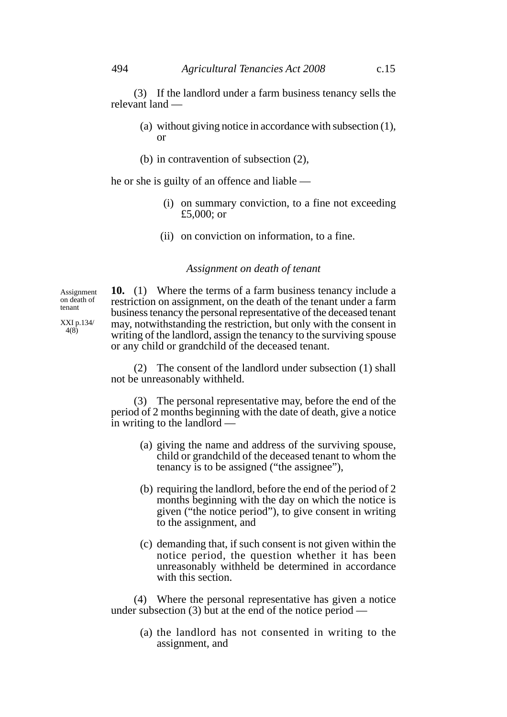(3) If the landlord under a farm business tenancy sells the relevant land —

- (a) without giving notice in accordance with subsection (1), or
- (b) in contravention of subsection (2),

he or she is guilty of an offence and liable —

- (i) on summary conviction, to a fine not exceeding £5,000; or
- (ii) on conviction on information, to a fine.

### *Assignment on death of tenant*

Assignment on death of tenant

XXI p.134/ 4(8)

**10.** (1) Where the terms of a farm business tenancy include a restriction on assignment, on the death of the tenant under a farm business tenancy the personal representative of the deceased tenant may, notwithstanding the restriction, but only with the consent in writing of the landlord, assign the tenancy to the surviving spouse or any child or grandchild of the deceased tenant.

(2) The consent of the landlord under subsection (1) shall not be unreasonably withheld.

(3) The personal representative may, before the end of the period of 2 months beginning with the date of death, give a notice in writing to the landlord —

- (a) giving the name and address of the surviving spouse, child or grandchild of the deceased tenant to whom the tenancy is to be assigned ("the assignee"),
- (b) requiring the landlord, before the end of the period of 2 months beginning with the day on which the notice is given ("the notice period"), to give consent in writing to the assignment, and
- (c) demanding that, if such consent is not given within the notice period, the question whether it has been unreasonably withheld be determined in accordance with this section.

(4) Where the personal representative has given a notice under subsection  $(3)$  but at the end of the notice period —

> (a) the landlord has not consented in writing to the assignment, and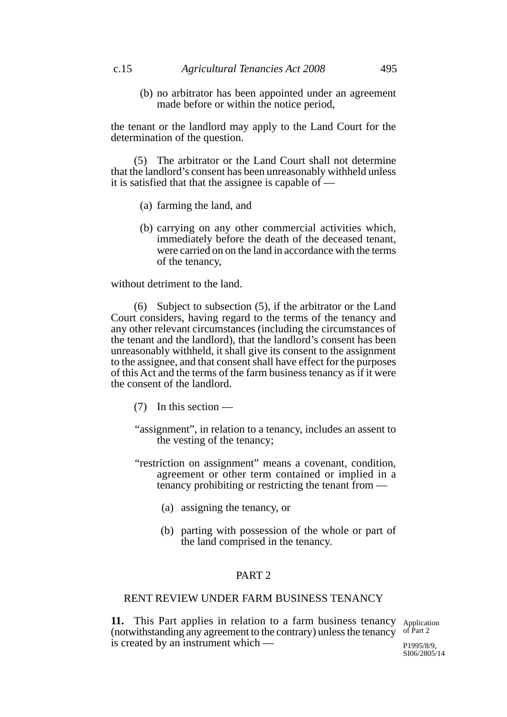(b) no arbitrator has been appointed under an agreement made before or within the notice period,

the tenant or the landlord may apply to the Land Court for the determination of the question.

(5) The arbitrator or the Land Court shall not determine that the landlord's consent has been unreasonably withheld unless it is satisfied that that the assignee is capable of  $\overline{\phantom{a}}$ 

- (a) farming the land, and
- (b) carrying on any other commercial activities which, immediately before the death of the deceased tenant, were carried on on the land in accordance with the terms of the tenancy,

without detriment to the land.

(6) Subject to subsection (5), if the arbitrator or the Land Court considers, having regard to the terms of the tenancy and any other relevant circumstances (including the circumstances of the tenant and the landlord), that the landlord's consent has been unreasonably withheld, it shall give its consent to the assignment to the assignee, and that consent shall have effect for the purposes of this Act and the terms of the farm business tenancy as if it were the consent of the landlord.

- (7) In this section —
- "assignment", in relation to a tenancy, includes an assent to the vesting of the tenancy;
- "restriction on assignment" means a covenant, condition, agreement or other term contained or implied in a tenancy prohibiting or restricting the tenant from —
	- (a) assigning the tenancy, or
	- (b) parting with possession of the whole or part of the land comprised in the tenancy.

# PART 2

# RENT REVIEW UNDER FARM BUSINESS TENANCY

11. This Part applies in relation to a farm business tenancy Application (notwithstanding any agreement to the contrary) unless the tenancy of Part 2 is created by an instrument which —

P1995/8/9, SI06/2805/14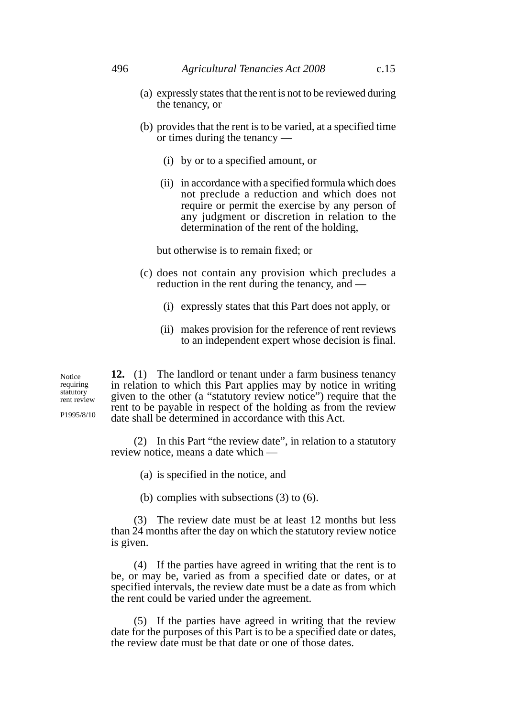- (a) expressly states that the rent is not to be reviewed during the tenancy, or
- (b) provides that the rent is to be varied, at a specified time or times during the tenancy —
	- (i) by or to a specified amount, or
	- (ii) in accordance with a specified formula which does not preclude a reduction and which does not require or permit the exercise by any person of any judgment or discretion in relation to the determination of the rent of the holding,

but otherwise is to remain fixed; or

- (c) does not contain any provision which precludes a reduction in the rent during the tenancy, and —
	- (i) expressly states that this Part does not apply, or
	- (ii) makes provision for the reference of rent reviews to an independent expert whose decision is final.

Notice requiring statutory rent review

P1995/8/10

**12.** (1) The landlord or tenant under a farm business tenancy in relation to which this Part applies may by notice in writing given to the other (a "statutory review notice") require that the rent to be payable in respect of the holding as from the review date shall be determined in accordance with this Act.

(2) In this Part "the review date", in relation to a statutory review notice, means a date which —

- (a) is specified in the notice, and
- (b) complies with subsections (3) to (6).

(3) The review date must be at least 12 months but less than 24 months after the day on which the statutory review notice is given.

(4) If the parties have agreed in writing that the rent is to be, or may be, varied as from a specified date or dates, or at specified intervals, the review date must be a date as from which the rent could be varied under the agreement.

(5) If the parties have agreed in writing that the review date for the purposes of this Part is to be a specified date or dates, the review date must be that date or one of those dates.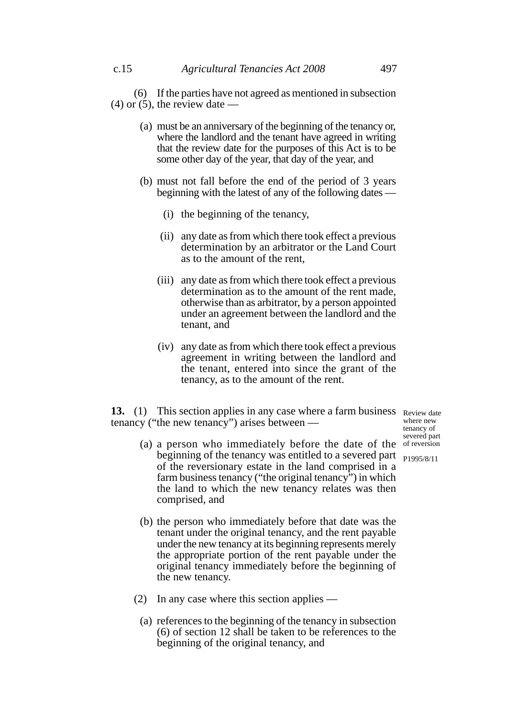(6) If the parties have not agreed as mentioned in subsection  $(4)$  or  $(5)$ , the review date  $-$ 

- (a) must be an anniversary of the beginning of the tenancy or, where the landlord and the tenant have agreed in writing that the review date for the purposes of this Act is to be some other day of the year, that day of the year, and
- (b) must not fall before the end of the period of 3 years beginning with the latest of any of the following dates —
	- (i) the beginning of the tenancy,
	- (ii) any date as from which there took effect a previous determination by an arbitrator or the Land Court as to the amount of the rent,
	- (iii) any date as from which there took effect a previous determination as to the amount of the rent made, otherwise than as arbitrator, by a person appointed under an agreement between the landlord and the tenant, and
	- (iv) any date as from which there took effect a previous agreement in writing between the landlord and the tenant, entered into since the grant of the tenancy, as to the amount of the rent.

**13.** (1) This section applies in any case where a farm business Review date tenancy ("the new tenancy") arises between —

(a) a person who immediately before the date of the of reversion where new tenancy of severed part

beginning of the tenancy was entitled to a severed part <sub>P1995/8/11</sub>

- of the reversionary estate in the land comprised in a farm business tenancy ("the original tenancy") in which the land to which the new tenancy relates was then comprised, and
- (b) the person who immediately before that date was the tenant under the original tenancy, and the rent payable under the new tenancy at its beginning represents merely the appropriate portion of the rent payable under the original tenancy immediately before the beginning of the new tenancy.
- (2) In any case where this section applies
	- (a) references to the beginning of the tenancy in subsection (6) of section 12 shall be taken to be references to the beginning of the original tenancy, and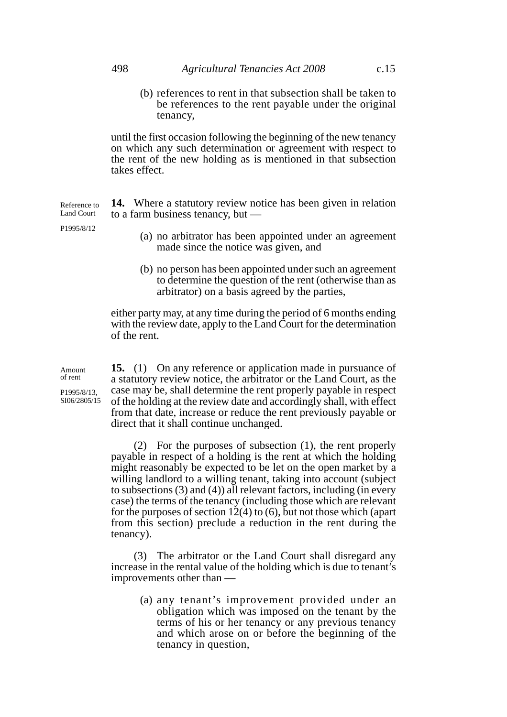(b) references to rent in that subsection shall be taken to be references to the rent payable under the original tenancy,

until the first occasion following the beginning of the new tenancy on which any such determination or agreement with respect to the rent of the new holding as is mentioned in that subsection takes effect.

**14.** Where a statutory review notice has been given in relation to a farm business tenancy, but — Reference to Land Court

P1995/8/12

- (a) no arbitrator has been appointed under an agreement made since the notice was given, and
- (b) no person has been appointed under such an agreement to determine the question of the rent (otherwise than as arbitrator) on a basis agreed by the parties,

either party may, at any time during the period of 6 months ending with the review date, apply to the Land Court for the determination of the rent.

**15.** (1) On any reference or application made in pursuance of a statutory review notice, the arbitrator or the Land Court, as the case may be, shall determine the rent properly payable in respect of the holding at the review date and accordingly shall, with effect from that date, increase or reduce the rent previously payable or direct that it shall continue unchanged.

(2) For the purposes of subsection (1), the rent properly payable in respect of a holding is the rent at which the holding might reasonably be expected to be let on the open market by a willing landlord to a willing tenant, taking into account (subject to subsections (3) and (4)) all relevant factors, including (in every case) the terms of the tenancy (including those which are relevant for the purposes of section  $12(4)$  to (6), but not those which (apart from this section) preclude a reduction in the rent during the tenancy).

(3) The arbitrator or the Land Court shall disregard any increase in the rental value of the holding which is due to tenant's improvements other than —

> (a) any tenant's improvement provided under an obligation which was imposed on the tenant by the terms of his or her tenancy or any previous tenancy and which arose on or before the beginning of the tenancy in question,

Amount of rent

P1995/8/13, SI06/2805/15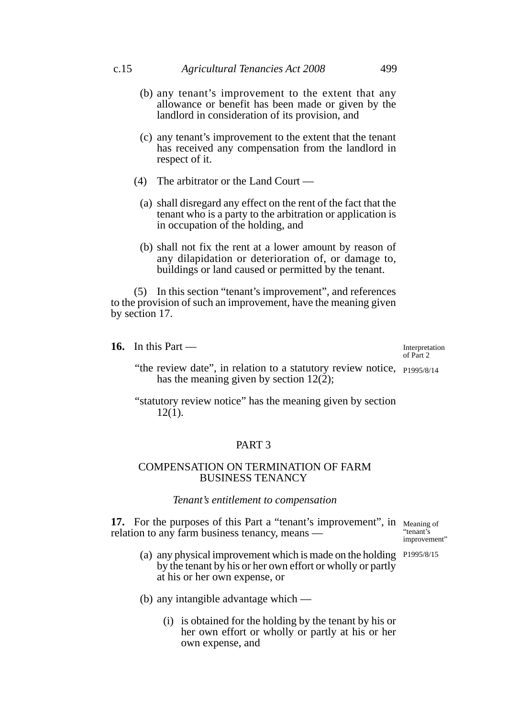- (b) any tenant's improvement to the extent that any allowance or benefit has been made or given by the landlord in consideration of its provision, and
- (c) any tenant's improvement to the extent that the tenant has received any compensation from the landlord in respect of it.
- (4) The arbitrator or the Land Court
	- (a) shall disregard any effect on the rent of the fact that the tenant who is a party to the arbitration or application is in occupation of the holding, and
	- (b) shall not fix the rent at a lower amount by reason of any dilapidation or deterioration of, or damage to, buildings or land caused or permitted by the tenant.

(5) In this section "tenant's improvement", and references to the provision of such an improvement, have the meaning given by section 17.

**16.** In this Part —

Interpretation of Part 2

- "the review date", in relation to a statutory review notice, P1995/8/14 has the meaning given by section  $12(\dot{2})$ ;
- "statutory review notice" has the meaning given by section  $12(1)$ .

# PART 3

### COMPENSATION ON TERMINATION OF FARM BUSINESS TENANCY

#### *Tenant's entitlement to compensation*

**17.** For the purposes of this Part a "tenant's improvement", in Meaning of relation to any farm business tenancy, means —

"tenant's improvement"

- (a) any physical improvement which is made on the holding P1995/8/15by the tenant by his or her own effort or wholly or partly at his or her own expense, or
- (b) any intangible advantage which
	- (i) is obtained for the holding by the tenant by his or her own effort or wholly or partly at his or her own expense, and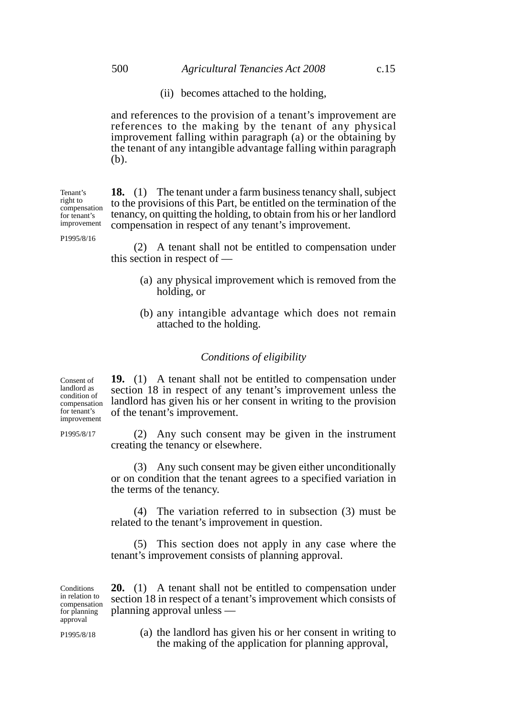(ii) becomes attached to the holding,

and references to the provision of a tenant's improvement are references to the making by the tenant of any physical improvement falling within paragraph (a) or the obtaining by the tenant of any intangible advantage falling within paragraph (b).

**18.** (1) The tenant under a farm business tenancy shall, subject to the provisions of this Part, be entitled on the termination of the tenancy, on quitting the holding, to obtain from his or her landlord

Tenant's right to compensation for tenant's improvement

P1995/8/16

compensation in respect of any tenant's improvement. (2) A tenant shall not be entitled to compensation under this section in respect of —

- (a) any physical improvement which is removed from the holding, or
	- (b) any intangible advantage which does not remain attached to the holding.

### *Conditions of eligibility*

**19.** (1) A tenant shall not be entitled to compensation under section 18 in respect of any tenant's improvement unless the landlord has given his or her consent in writing to the provision of the tenant's improvement.

(2) Any such consent may be given in the instrument creating the tenancy or elsewhere.

(3) Any such consent may be given either unconditionally or on condition that the tenant agrees to a specified variation in the terms of the tenancy.

(4) The variation referred to in subsection (3) must be related to the tenant's improvement in question.

(5) This section does not apply in any case where the tenant's improvement consists of planning approval.

**20.** (1) A tenant shall not be entitled to compensation under section 18 in respect of a tenant's improvement which consists of planning approval unless — **Conditions** in relation to compensation for planning approval

P1995/8/18

(a) the landlord has given his or her consent in writing to the making of the application for planning approval,

Consent of landlord as condition of compensation for tenant's improvement

P1995/8/17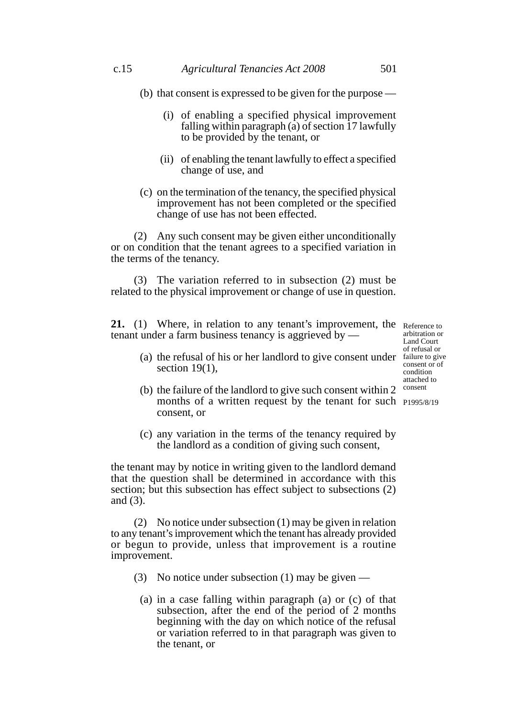- (b) that consent is expressed to be given for the purpose
	- (i) of enabling a specified physical improvement falling within paragraph  $\overline{a}$  of section 17 lawfully to be provided by the tenant, or
	- (ii) of enabling the tenant lawfully to effect a specified change of use, and
- (c) on the termination of the tenancy, the specified physical improvement has not been completed or the specified change of use has not been effected.

(2) Any such consent may be given either unconditionally or on condition that the tenant agrees to a specified variation in the terms of the tenancy.

(3) The variation referred to in subsection (2) must be related to the physical improvement or change of use in question.

**21.** (1) Where, in relation to any tenant's improvement, the Reference to tenant under a farm business tenancy is aggrieved by —

arbitration or Land Court of refusal or consent or of condition attached to consent

- (a) the refusal of his or her landlord to give consent under failure to give section 19(1).
- (b) the failure of the landlord to give such consent within 2 months of a written request by the tenant for such P1995/8/19consent, or
- (c) any variation in the terms of the tenancy required by the landlord as a condition of giving such consent,

the tenant may by notice in writing given to the landlord demand that the question shall be determined in accordance with this section; but this subsection has effect subject to subsections (2) and (3).

(2) No notice under subsection (1) may be given in relation to any tenant's improvement which the tenant has already provided or begun to provide, unless that improvement is a routine improvement.

- (3) No notice under subsection (1) may be given
	- (a) in a case falling within paragraph (a) or (c) of that subsection, after the end of the period of 2 months beginning with the day on which notice of the refusal or variation referred to in that paragraph was given to the tenant, or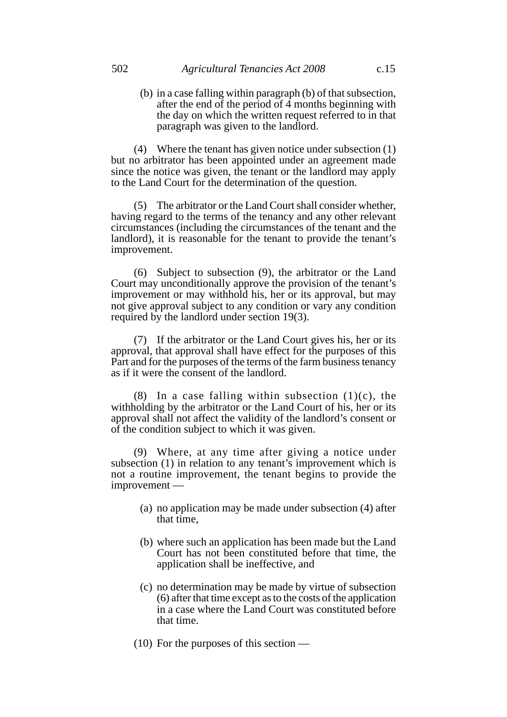(b) in a case falling within paragraph (b) of that subsection, after the end of the period of  $\overline{4}$  months beginning with the day on which the written request referred to in that paragraph was given to the landlord.

(4) Where the tenant has given notice under subsection (1) but no arbitrator has been appointed under an agreement made since the notice was given, the tenant or the landlord may apply to the Land Court for the determination of the question.

(5) The arbitrator or the Land Court shall consider whether, having regard to the terms of the tenancy and any other relevant circumstances (including the circumstances of the tenant and the landlord), it is reasonable for the tenant to provide the tenant's improvement.

(6) Subject to subsection (9), the arbitrator or the Land Court may unconditionally approve the provision of the tenant's improvement or may withhold his, her or its approval, but may not give approval subject to any condition or vary any condition required by the landlord under section 19(3).

(7) If the arbitrator or the Land Court gives his, her or its approval, that approval shall have effect for the purposes of this Part and for the purposes of the terms of the farm business tenancy as if it were the consent of the landlord.

(8) In a case falling within subsection  $(1)(c)$ , the withholding by the arbitrator or the Land Court of his, her or its approval shall not affect the validity of the landlord's consent or of the condition subject to which it was given.

(9) Where, at any time after giving a notice under subsection (1) in relation to any tenant's improvement which is not a routine improvement, the tenant begins to provide the improvement —

- (a) no application may be made under subsection (4) after that time,
- (b) where such an application has been made but the Land Court has not been constituted before that time, the application shall be ineffective, and
- (c) no determination may be made by virtue of subsection (6) after that time except as to the costs of the application in a case where the Land Court was constituted before that time.
- (10) For the purposes of this section —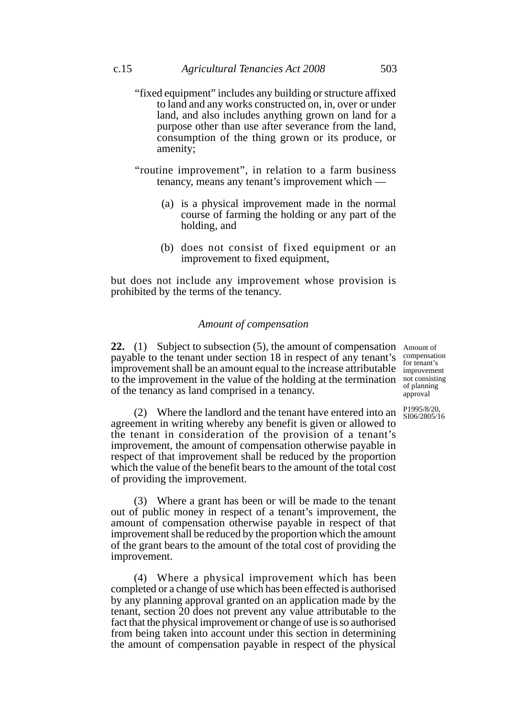- "fixed equipment" includes any building or structure affixed to land and any works constructed on, in, over or under land, and also includes anything grown on land for a purpose other than use after severance from the land, consumption of the thing grown or its produce, or amenity;
- "routine improvement", in relation to a farm business tenancy, means any tenant's improvement which —
	- (a) is a physical improvement made in the normal course of farming the holding or any part of the holding, and
	- (b) does not consist of fixed equipment or an improvement to fixed equipment,

but does not include any improvement whose provision is prohibited by the terms of the tenancy.

### *Amount of compensation*

**22.** (1) Subject to subsection (5), the amount of compensation Amount of payable to the tenant under section 18 in respect of any tenant's improvement shall be an amount equal to the increase attributable to the improvement in the value of the holding at the termination of the tenancy as land comprised in a tenancy. compensation for tenant's improvement

not consisting of planning approval

P1995/8/20, SI06/2805/16

(2) Where the landlord and the tenant have entered into an agreement in writing whereby any benefit is given or allowed to the tenant in consideration of the provision of a tenant's improvement, the amount of compensation otherwise payable in respect of that improvement shall be reduced by the proportion which the value of the benefit bears to the amount of the total cost of providing the improvement.

(3) Where a grant has been or will be made to the tenant out of public money in respect of a tenant's improvement, the amount of compensation otherwise payable in respect of that improvement shall be reduced by the proportion which the amount of the grant bears to the amount of the total cost of providing the improvement.

(4) Where a physical improvement which has been completed or a change of use which has been effected is authorised by any planning approval granted on an application made by the tenant, section 20 does not prevent any value attributable to the fact that the physical improvement or change of use is so authorised from being taken into account under this section in determining the amount of compensation payable in respect of the physical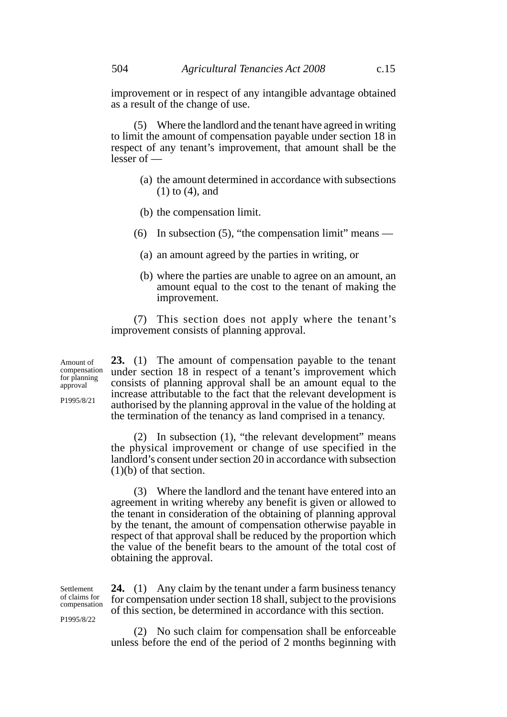improvement or in respect of any intangible advantage obtained as a result of the change of use.

(5) Where the landlord and the tenant have agreed in writing to limit the amount of compensation payable under section 18 in respect of any tenant's improvement, that amount shall be the  $lesser of$  —

- (a) the amount determined in accordance with subsections (1) to (4), and
- (b) the compensation limit.
- (6) In subsection (5), "the compensation limit" means
	- (a) an amount agreed by the parties in writing, or
	- (b) where the parties are unable to agree on an amount, an amount equal to the cost to the tenant of making the improvement.

(7) This section does not apply where the tenant's improvement consists of planning approval.

Amount of compensation for planning approval

P1995/8/21

**23.** (1) The amount of compensation payable to the tenant under section 18 in respect of a tenant's improvement which consists of planning approval shall be an amount equal to the increase attributable to the fact that the relevant development is authorised by the planning approval in the value of the holding at the termination of the tenancy as land comprised in a tenancy.

(2) In subsection (1), "the relevant development" means the physical improvement or change of use specified in the landlord's consent under section 20 in accordance with subsection (1)(b) of that section.

(3) Where the landlord and the tenant have entered into an agreement in writing whereby any benefit is given or allowed to the tenant in consideration of the obtaining of planning approval by the tenant, the amount of compensation otherwise payable in respect of that approval shall be reduced by the proportion which the value of the benefit bears to the amount of the total cost of obtaining the approval.

**24.** (1) Any claim by the tenant under a farm business tenancy for compensation under section 18 shall, subject to the provisions of this section, be determined in accordance with this section. Settlement

> (2) No such claim for compensation shall be enforceable unless before the end of the period of 2 months beginning with

of claims for compensation

P1995/8/22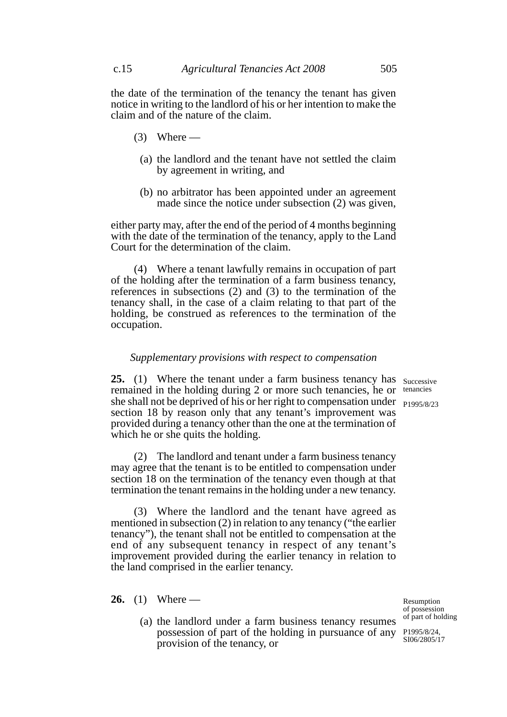the date of the termination of the tenancy the tenant has given notice in writing to the landlord of his or her intention to make the claim and of the nature of the claim.

- $(3)$  Where
	- (a) the landlord and the tenant have not settled the claim by agreement in writing, and
	- (b) no arbitrator has been appointed under an agreement made since the notice under subsection (2) was given,

either party may, after the end of the period of 4 months beginning with the date of the termination of the tenancy, apply to the Land Court for the determination of the claim.

(4) Where a tenant lawfully remains in occupation of part of the holding after the termination of a farm business tenancy, references in subsections (2) and (3) to the termination of the tenancy shall, in the case of a claim relating to that part of the holding, be construed as references to the termination of the occupation.

### *Supplementary provisions with respect to compensation*

**25.** (1) Where the tenant under a farm business tenancy has successive remained in the holding during 2 or more such tenancies, he or tenancies she shall not be deprived of his or her right to compensation under P1995/8/23 section 18 by reason only that any tenant's improvement was provided during a tenancy other than the one at the termination of which he or she quits the holding.

(2) The landlord and tenant under a farm business tenancy may agree that the tenant is to be entitled to compensation under section 18 on the termination of the tenancy even though at that termination the tenant remains in the holding under a new tenancy.

(3) Where the landlord and the tenant have agreed as mentioned in subsection (2) in relation to any tenancy ("the earlier tenancy"), the tenant shall not be entitled to compensation at the end of any subsequent tenancy in respect of any tenant's improvement provided during the earlier tenancy in relation to the land comprised in the earlier tenancy.

**26.** (1) Where —

(a) the landlord under a farm business tenancy resumes possession of part of the holding in pursuance of any P1995/8/24, provision of the tenancy, or

of part of holding SI06/2805/17

Resumption of possession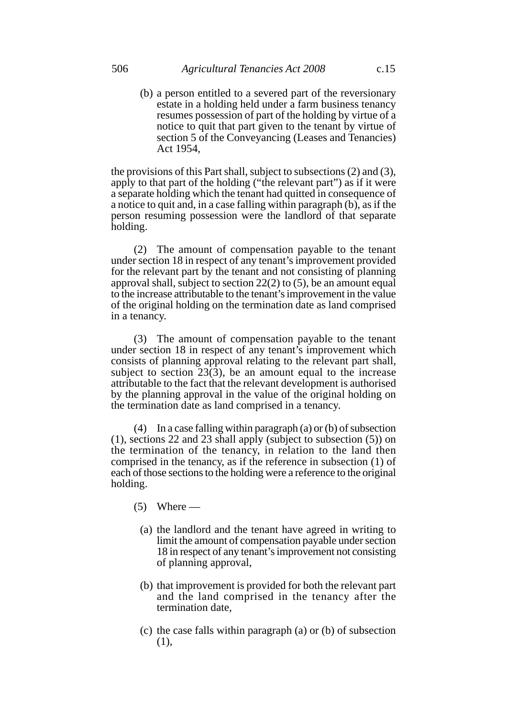(b) a person entitled to a severed part of the reversionary estate in a holding held under a farm business tenancy resumes possession of part of the holding by virtue of a notice to quit that part given to the tenant by virtue of section 5 of the Conveyancing (Leases and Tenancies) Act 1954,

the provisions of this Part shall, subject to subsections (2) and (3), apply to that part of the holding ("the relevant part") as if it were a separate holding which the tenant had quitted in consequence of a notice to quit and, in a case falling within paragraph (b), as if the person resuming possession were the landlord of that separate holding.

(2) The amount of compensation payable to the tenant under section 18 in respect of any tenant's improvement provided for the relevant part by the tenant and not consisting of planning approval shall, subject to section 22(2) to (5), be an amount equal to the increase attributable to the tenant's improvement in the value of the original holding on the termination date as land comprised in a tenancy.

(3) The amount of compensation payable to the tenant under section 18 in respect of any tenant's improvement which consists of planning approval relating to the relevant part shall, subject to section  $23(3)$ , be an amount equal to the increase attributable to the fact that the relevant development is authorised by the planning approval in the value of the original holding on the termination date as land comprised in a tenancy.

(4) In a case falling within paragraph (a) or (b) of subsection (1), sections 22 and 23 shall apply (subject to subsection (5)) on the termination of the tenancy, in relation to the land then comprised in the tenancy, as if the reference in subsection (1) of each of those sections to the holding were a reference to the original holding.

- $(5)$  Where
	- (a) the landlord and the tenant have agreed in writing to limit the amount of compensation payable under section 18 in respect of any tenant's improvement not consisting of planning approval,
	- (b) that improvement is provided for both the relevant part and the land comprised in the tenancy after the termination date,
	- (c) the case falls within paragraph (a) or (b) of subsection (1),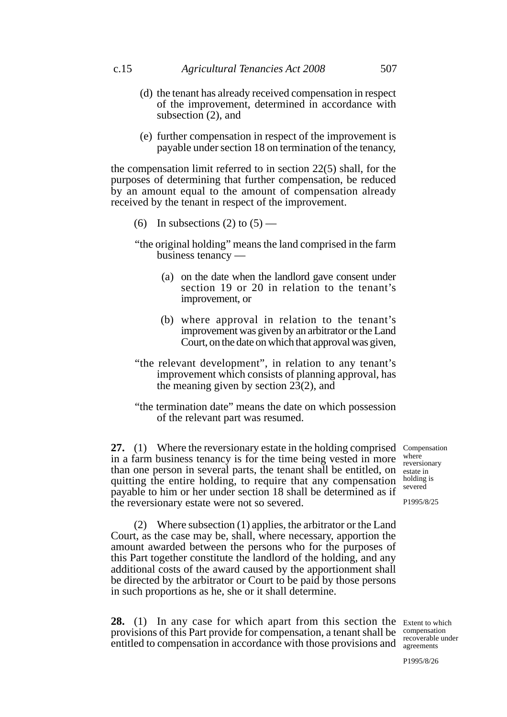- (d) the tenant has already received compensation in respect of the improvement, determined in accordance with subsection (2), and
- (e) further compensation in respect of the improvement is payable under section 18 on termination of the tenancy,

the compensation limit referred to in section 22(5) shall, for the purposes of determining that further compensation, be reduced by an amount equal to the amount of compensation already received by the tenant in respect of the improvement.

- (6) In subsections (2) to  $(5)$  —
- "the original holding" means the land comprised in the farm business tenancy —
	- (a) on the date when the landlord gave consent under section 19 or 20 in relation to the tenant's improvement, or
	- (b) where approval in relation to the tenant's improvement was given by an arbitrator or the Land Court, on the date on which that approval was given,
- "the relevant development", in relation to any tenant's improvement which consists of planning approval, has the meaning given by section  $2\bar{3}(2)$ , and
- "the termination date" means the date on which possession of the relevant part was resumed.

27. (1) Where the reversionary estate in the holding comprised Compensation in a farm business tenancy is for the time being vested in more than one person in several parts, the tenant shall be entitled, on quitting the entire holding, to require that any compensation payable to him or her under section 18 shall be determined as if the reversionary estate were not so severed.

where reversionary estate in holding is severed

P1995/8/25

(2) Where subsection (1) applies, the arbitrator or the Land Court, as the case may be, shall, where necessary, apportion the amount awarded between the persons who for the purposes of this Part together constitute the landlord of the holding, and any additional costs of the award caused by the apportionment shall be directed by the arbitrator or Court to be paid by those persons in such proportions as he, she or it shall determine.

**28.** (1) In any case for which apart from this section the Extent to which provisions of this Part provide for compensation, a tenant shall be compensation entitled to compensation in accordance with those provisions and agreements

agreements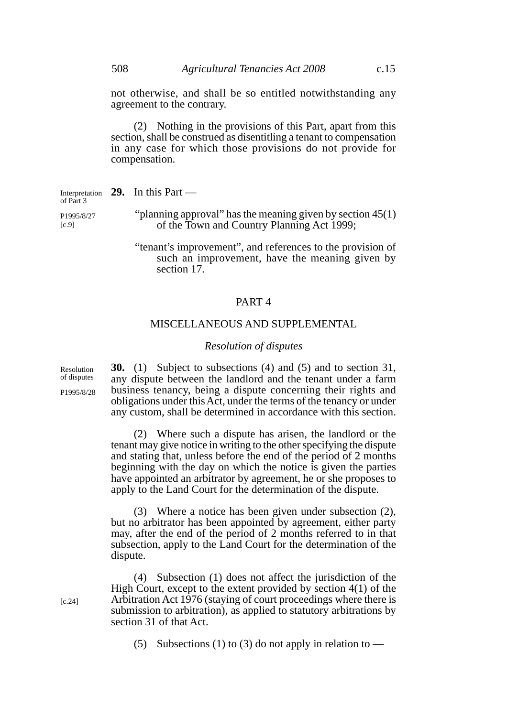not otherwise, and shall be so entitled notwithstanding any agreement to the contrary.

(2) Nothing in the provisions of this Part, apart from this section, shall be construed as disentitling a tenant to compensation in any case for which those provisions do not provide for compensation.

**29.** In this Part — "planning approval" has the meaning given by section 45(1) of the Town and Country Planning Act 1999; "tenant's improvement", and references to the provision of Interpretation of Part 3 P1995/8/27 [c.9]

such an improvement, have the meaning given by section 17

# PART 4

### MISCELLANEOUS AND SUPPLEMENTAL

#### *Resolution of disputes*

**30.** (1) Subject to subsections (4) and (5) and to section 31, any dispute between the landlord and the tenant under a farm business tenancy, being a dispute concerning their rights and obligations under this Act, under the terms of the tenancy or under any custom, shall be determined in accordance with this section.

(2) Where such a dispute has arisen, the landlord or the tenant may give notice in writing to the other specifying the dispute and stating that, unless before the end of the period of 2 months beginning with the day on which the notice is given the parties have appointed an arbitrator by agreement, he or she proposes to apply to the Land Court for the determination of the dispute.

(3) Where a notice has been given under subsection (2), but no arbitrator has been appointed by agreement, either party may, after the end of the period of 2 months referred to in that subsection, apply to the Land Court for the determination of the dispute.

(4) Subsection (1) does not affect the jurisdiction of the High Court, except to the extent provided by section 4(1) of the Arbitration Act 1976 (staying of court proceedings where there is submission to arbitration), as applied to statutory arbitrations by section 31 of that Act.

(5) Subsections (1) to (3) do not apply in relation to —

Resolution of disputes

P1995/8/28

[c.24]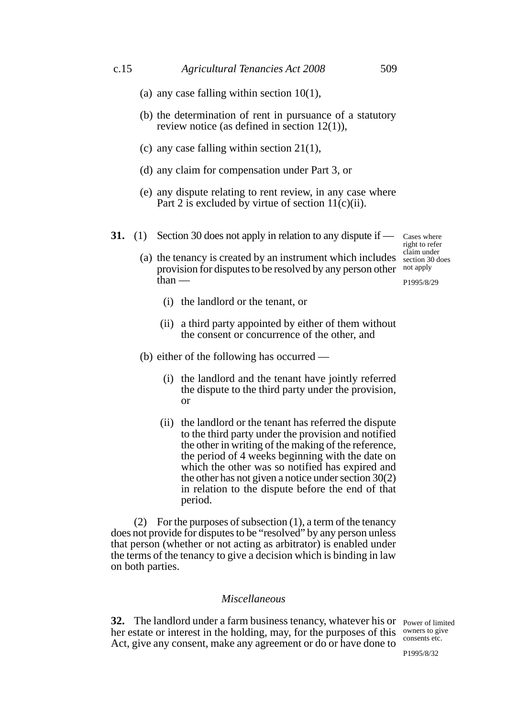Cases where right to refer claim under section 30 does

P1995/8/29

- (a) any case falling within section 10(1),
- (b) the determination of rent in pursuance of a statutory review notice (as defined in section 12(1)),
- (c) any case falling within section 21(1),
- (d) any claim for compensation under Part 3, or
- (e) any dispute relating to rent review, in any case where Part 2 is excluded by virtue of section  $11(c)(ii)$ .
- **31.** (1) Section 30 does not apply in relation to any dispute if —

(a) the tenancy is created by an instrument which includes provision for disputes to be resolved by any person other not apply than —

- (i) the landlord or the tenant, or
- (ii) a third party appointed by either of them without the consent or concurrence of the other, and
- (b) either of the following has occurred
	- (i) the landlord and the tenant have jointly referred the dispute to the third party under the provision, or
	- (ii) the landlord or the tenant has referred the dispute to the third party under the provision and notified the other in writing of the making of the reference, the period of 4 weeks beginning with the date on which the other was so notified has expired and the other has not given a notice under section 30(2) in relation to the dispute before the end of that period.

(2) For the purposes of subsection (1), a term of the tenancy does not provide for disputes to be "resolved" by any person unless that person (whether or not acting as arbitrator) is enabled under the terms of the tenancy to give a decision which is binding in law on both parties.

### *Miscellaneous*

**32.** The landlord under a farm business tenancy, whatever his or Power of limited her estate or interest in the holding, may, for the purposes of this owners to give Act, give any consent, make any agreement or do or have done to

consents etc.

P1995/8/32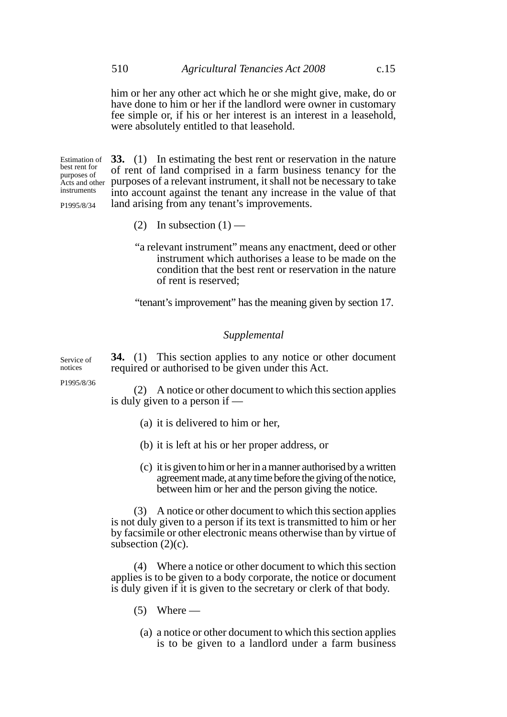him or her any other act which he or she might give, make, do or have done to him or her if the landlord were owner in customary fee simple or, if his or her interest is an interest in a leasehold, were absolutely entitled to that leasehold.

Estimation of best rent for purposes of instruments

P1995/8/34

**33.** (1) In estimating the best rent or reservation in the nature of rent of land comprised in a farm business tenancy for the Acts and other purposes of a relevant instrument, it shall not be necessary to take into account against the tenant any increase in the value of that land arising from any tenant's improvements.

- (2) In subsection  $(1)$  —
- "a relevant instrument" means any enactment, deed or other instrument which authorises a lease to be made on the condition that the best rent or reservation in the nature of rent is reserved;

"tenant's improvement" has the meaning given by section 17.

### *Supplemental*

**34.** (1) This section applies to any notice or other document required or authorised to be given under this Act. Service of

P1995/8/36

notices

(2) A notice or other document to which this section applies is duly given to a person if —

- (a) it is delivered to him or her,
- (b) it is left at his or her proper address, or
- (c) it is given to him or her in a manner authorised by a written agreement made, at any time before the giving of the notice, between him or her and the person giving the notice.

(3) A notice or other document to which this section applies is not duly given to a person if its text is transmitted to him or her by facsimile or other electronic means otherwise than by virtue of subsection  $(2)(c)$ .

(4) Where a notice or other document to which this section applies is to be given to a body corporate, the notice or document is duly given if it is given to the secretary or clerk of that body.

- $(5)$  Where
	- (a) a notice or other document to which this section applies is to be given to a landlord under a farm business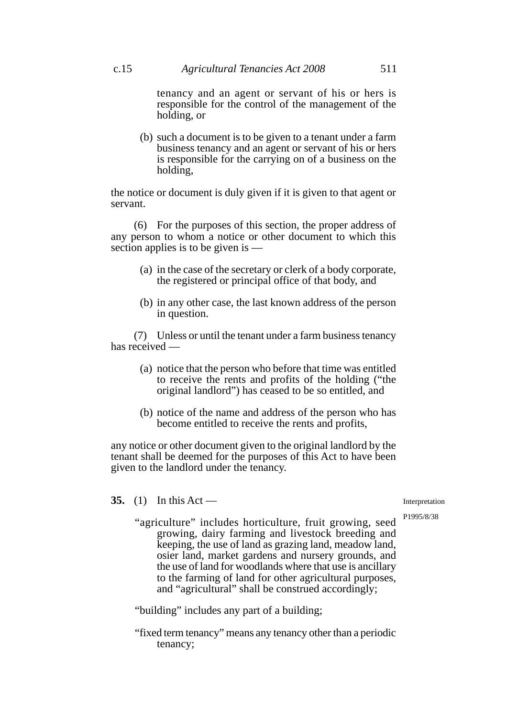tenancy and an agent or servant of his or hers is responsible for the control of the management of the holding, or

(b) such a document is to be given to a tenant under a farm business tenancy and an agent or servant of his or hers is responsible for the carrying on of a business on the holding,

the notice or document is duly given if it is given to that agent or servant.

(6) For the purposes of this section, the proper address of any person to whom a notice or other document to which this section applies is to be given is —

- (a) in the case of the secretary or clerk of a body corporate, the registered or principal office of that body, and
- (b) in any other case, the last known address of the person in question.

(7) Unless or until the tenant under a farm business tenancy has received —

- (a) notice that the person who before that time was entitled to receive the rents and profits of the holding ("the original landlord") has ceased to be so entitled, and
- (b) notice of the name and address of the person who has become entitled to receive the rents and profits,

any notice or other document given to the original landlord by the tenant shall be deemed for the purposes of this Act to have been given to the landlord under the tenancy.

**35.** (1) In this Act —

Interpretation

P1995/8/38

"agriculture" includes horticulture, fruit growing, seed growing, dairy farming and livestock breeding and keeping, the use of land as grazing land, meadow land, osier land, market gardens and nursery grounds, and the use of land for woodlands where that use is ancillary to the farming of land for other agricultural purposes, and "agricultural" shall be construed accordingly;

"building" includes any part of a building;

"fixed term tenancy" means any tenancy other than a periodic tenancy;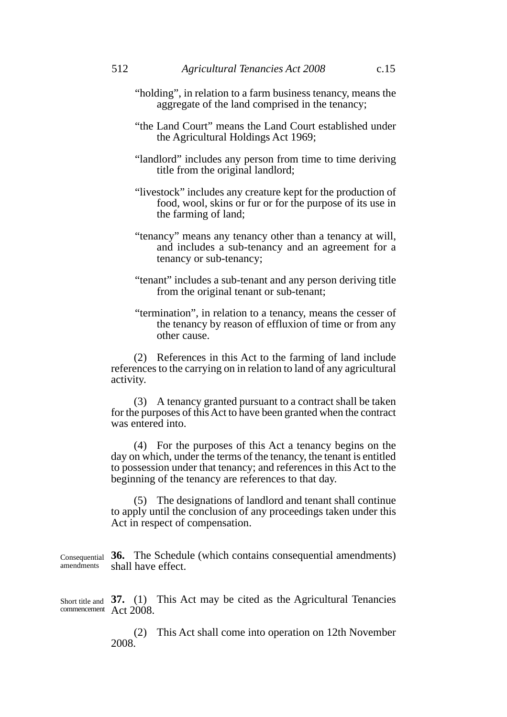- "holding", in relation to a farm business tenancy, means the aggregate of the land comprised in the tenancy;
- "the Land Court" means the Land Court established under the Agricultural Holdings Act 1969;
- "landlord" includes any person from time to time deriving title from the original landlord;
- "livestock" includes any creature kept for the production of food, wool, skins or fur or for the purpose of its use in the farming of land;
- "tenancy" means any tenancy other than a tenancy at will, and includes a sub-tenancy and an agreement for a tenancy or sub-tenancy;
- "tenant" includes a sub-tenant and any person deriving title from the original tenant or sub-tenant;
- "termination", in relation to a tenancy, means the cesser of the tenancy by reason of effluxion of time or from any other cause.

(2) References in this Act to the farming of land include references to the carrying on in relation to land of any agricultural activity.

(3) A tenancy granted pursuant to a contract shall be taken for the purposes of this Act to have been granted when the contract was entered into.

(4) For the purposes of this Act a tenancy begins on the day on which, under the terms of the tenancy, the tenant is entitled to possession under that tenancy; and references in this Act to the beginning of the tenancy are references to that day.

(5) The designations of landlord and tenant shall continue to apply until the conclusion of any proceedings taken under this Act in respect of compensation.

**36.** The Schedule (which contains consequential amendments) Consequential shall have effect. amendments

Short title and 37. (1) This Act may be cited as the Agricultural Tenancies Act 2008. commencement

> (2) This Act shall come into operation on 12th November 2008.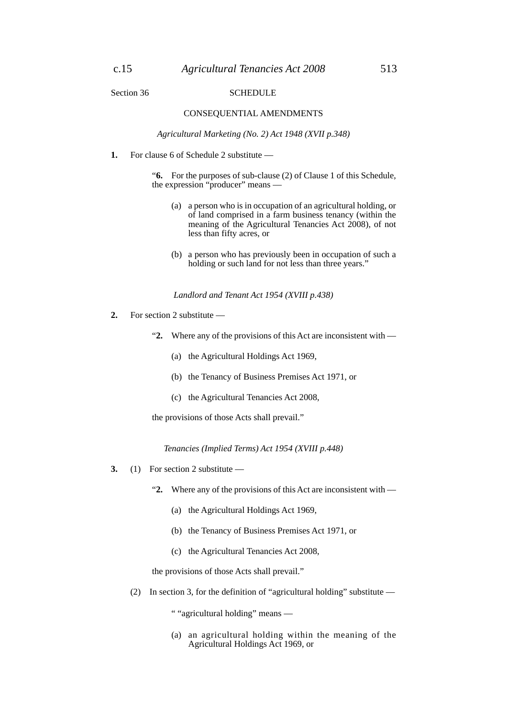#### Section 36 SCHEDULE

#### CONSEQUENTIAL AMENDMENTS

*Agricultural Marketing (No. 2) Act 1948 (XVII p.348)*

**1.** For clause 6 of Schedule 2 substitute —

"**6.** For the purposes of sub-clause (2) of Clause 1 of this Schedule, the expression "producer" means —

- (a) a person who is in occupation of an agricultural holding, or of land comprised in a farm business tenancy (within the meaning of the Agricultural Tenancies Act 2008), of not less than fifty acres, or
- (b) a person who has previously been in occupation of such a holding or such land for not less than three years."

*Landlord and Tenant Act 1954 (XVIII p.438)*

- **2.** For section 2 substitute
	- "**2.** Where any of the provisions of this Act are inconsistent with
		- (a) the Agricultural Holdings Act 1969,
		- (b) the Tenancy of Business Premises Act 1971, or
		- (c) the Agricultural Tenancies Act 2008,

the provisions of those Acts shall prevail."

*Tenancies (Implied Terms) Act 1954 (XVIII p.448)*

- **3.** (1) For section 2 substitute
	- "**2.** Where any of the provisions of this Act are inconsistent with
		- (a) the Agricultural Holdings Act 1969,
		- (b) the Tenancy of Business Premises Act 1971, or
		- (c) the Agricultural Tenancies Act 2008,

the provisions of those Acts shall prevail."

(2) In section 3, for the definition of "agricultural holding" substitute —

" "agricultural holding" means —

(a) an agricultural holding within the meaning of the Agricultural Holdings Act 1969, or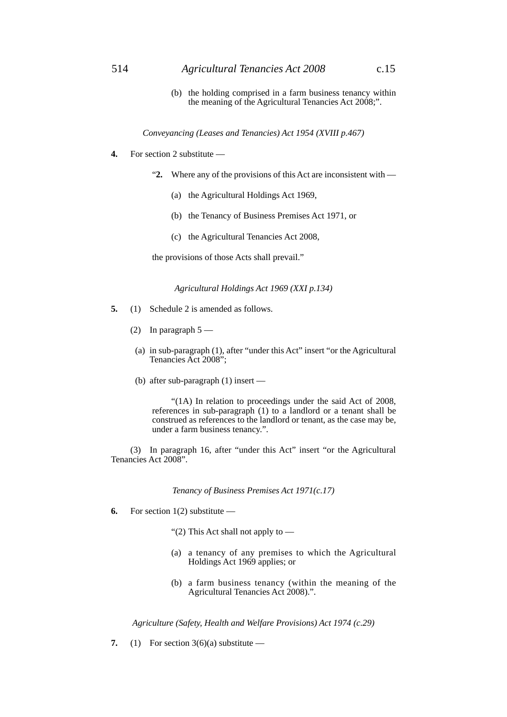(b) the holding comprised in a farm business tenancy within the meaning of the Agricultural Tenancies Act 2008;".

*Conveyancing (Leases and Tenancies) Act 1954 (XVIII p.467)*

- **4.** For section 2 substitute
	- "**2.** Where any of the provisions of this Act are inconsistent with
		- (a) the Agricultural Holdings Act 1969,
		- (b) the Tenancy of Business Premises Act 1971, or
		- (c) the Agricultural Tenancies Act 2008,

the provisions of those Acts shall prevail."

*Agricultural Holdings Act 1969 (XXI p.134)*

- **5.** (1) Schedule 2 is amended as follows.
	- (2) In paragraph  $5$  —
	- (a) in sub-paragraph (1), after "under this Act" insert "or the Agricultural Tenancies Act 2008";
	- (b) after sub-paragraph (1) insert —

"(1A) In relation to proceedings under the said Act of 2008, references in sub-paragraph (1) to a landlord or a tenant shall be construed as references to the landlord or tenant, as the case may be, under a farm business tenancy.".

(3) In paragraph 16, after "under this Act" insert "or the Agricultural Tenancies Act 2008".

*Tenancy of Business Premises Act 1971(c.17)*

- **6.** For section 1(2) substitute
	- "(2) This Act shall not apply to  $-$
	- (a) a tenancy of any premises to which the Agricultural Holdings Act 1969 applies; or
	- (b) a farm business tenancy (within the meaning of the Agricultural Tenancies Act 2008).".

*Agriculture (Safety, Health and Welfare Provisions) Act 1974 (c.29)*

**7.** (1) For section  $3(6)(a)$  substitute —